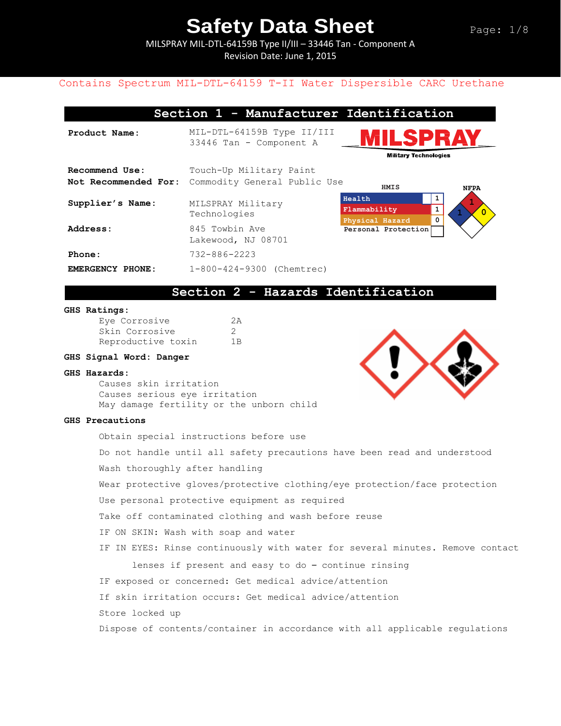MILSPRAY MIL-DTL-64159B Type II/III – 33446 Tan - Component A Revision Date: June 1, 2015

## Contains Spectrum MIL-DTL-64159 T-II Water Dispersible CARC Urethane

| Section 1 - Manufacturer Identification |                                                         |                                                          |                |  |  |
|-----------------------------------------|---------------------------------------------------------|----------------------------------------------------------|----------------|--|--|
| Product Name:                           | MIL-DTL-64159B Type II/III<br>33446 Tan - Component A   | LSPRA<br><b>Military Technologies</b>                    |                |  |  |
| Recommend Use:<br>Not Recommended For:  | Touch-Up Military Paint<br>Commodity General Public Use | <b>HMIS</b>                                              | <b>NFPA</b>    |  |  |
| Supplier's Name:                        | MILSPRAY Military<br>Technologies                       | 1<br>Health<br>1<br>Flammability<br>0<br>Physical Hazard | $\overline{0}$ |  |  |
| Address:                                | 845 Towbin Ave<br>Lakewood, NJ 08701                    | Personal Protection                                      |                |  |  |
| Phone:                                  | $732 - 886 - 2223$                                      |                                                          |                |  |  |
| EMERGENCY PHONE:                        | 1-800-424-9300 (Chemtrec)                               |                                                          |                |  |  |

## **Section 2 - Hazards Identification**

#### **GHS Ratings:**

| Eye Corrosive      | 2A             |
|--------------------|----------------|
| Skin Corrosive     |                |
| Reproductive toxin | 1 <sub>B</sub> |

### **GHS Signal Word: Danger**

#### **GHS Hazards:**

Causes skin irritation Causes serious eye irritation May damage fertility or the unborn child

#### **GHS Precautions**

Obtain special instructions before use Do not handle until all safety precautions have been read and understood Wash thoroughly after handling Wear protective gloves/protective clothing/eye protection/face protection Use personal protective equipment as required Take off contaminated clothing and wash before reuse IF ON SKIN: Wash with soap and water IF IN EYES: Rinse continuously with water for several minutes. Remove contact lenses if present and easy to do – continue rinsing IF exposed or concerned: Get medical advice/attention If skin irritation occurs: Get medical advice/attention Store locked up Dispose of contents/container in accordance with all applicable regulations

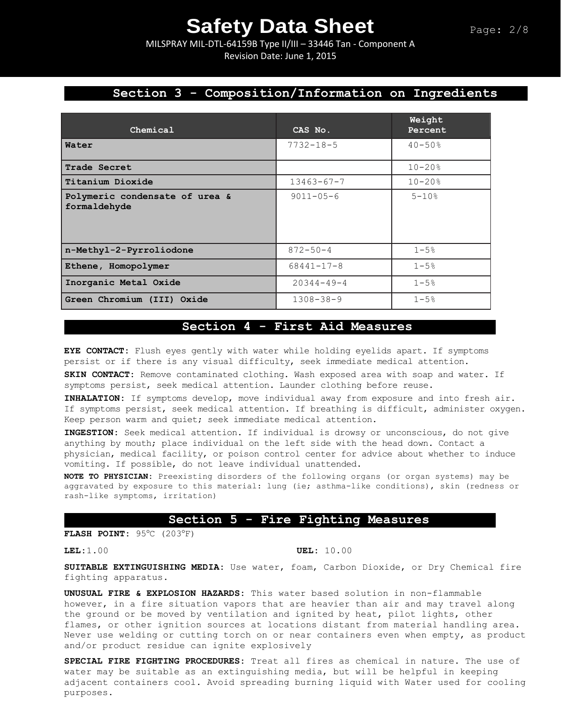MILSPRAY MIL-DTL-64159B Type II/III – 33446 Tan - Component A Revision Date: June 1, 2015

# **Section 3 - Composition/Information on Ingredients**

| Chemical                                       | CAS No.          | Weight<br>Percent |
|------------------------------------------------|------------------|-------------------|
| Water                                          | $7732 - 18 - 5$  | $40 - 50%$        |
| Trade Secret                                   |                  | $10 - 20%$        |
| Titanium Dioxide                               | $13463 - 67 - 7$ | $10 - 20%$        |
| Polymeric condensate of urea &<br>formaldehyde | $9011 - 05 - 6$  | $5 - 10$ %        |
| n-Methyl-2-Pyrroliodone                        | $872 - 50 - 4$   | $1 - 5$ %         |
| Ethene, Homopolymer                            | $68441 - 17 - 8$ | $1 - 5%$          |
| Inorganic Metal Oxide                          | $20344 - 49 - 4$ | $1 - 5%$          |
| Green Chromium (III) Oxide                     | $1308 - 38 - 9$  | $1 - 5%$          |

## **Section 4 - First Aid Measures**

**EYE CONTACT:** Flush eyes gently with water while holding eyelids apart. If symptoms persist or if there is any visual difficulty, seek immediate medical attention.

**SKIN CONTACT:** Remove contaminated clothing. Wash exposed area with soap and water. If symptoms persist, seek medical attention. Launder clothing before reuse.

**INHALATION:** If symptoms develop, move individual away from exposure and into fresh air. If symptoms persist, seek medical attention. If breathing is difficult, administer oxygen. Keep person warm and quiet; seek immediate medical attention.

**INGESTION:** Seek medical attention. If individual is drowsy or unconscious, do not give anything by mouth; place individual on the left side with the head down. Contact a physician, medical facility, or poison control center for advice about whether to induce vomiting. If possible, do not leave individual unattended.

**NOTE TO PHYSICIAN:** Preexisting disorders of the following organs (or organ systems) may be aggravated by exposure to this material: lung (ie; asthma-like conditions), skin (redness or rash-like symptoms, irritation)

### **Section 5 - Fire Fighting Measures**

**FLASH POINT:** 95°C (203°F)

### **LEL:**1.00 **UEL:** 10.00

**SUITABLE EXTINGUISHING MEDIA:** Use water, foam, Carbon Dioxide, or Dry Chemical fire fighting apparatus.

**UNUSUAL FIRE & EXPLOSION HAZARDS:** This water based solution in non-flammable however, in a fire situation vapors that are heavier than air and may travel along the ground or be moved by ventilation and ignited by heat, pilot lights, other flames, or other ignition sources at locations distant from material handling area. Never use welding or cutting torch on or near containers even when empty, as product and/or product residue can ignite explosively

**SPECIAL FIRE FIGHTING PROCEDURES:** Treat all fires as chemical in nature. The use of water may be suitable as an extinguishing media, but will be helpful in keeping adjacent containers cool. Avoid spreading burning liquid with Water used for cooling purposes.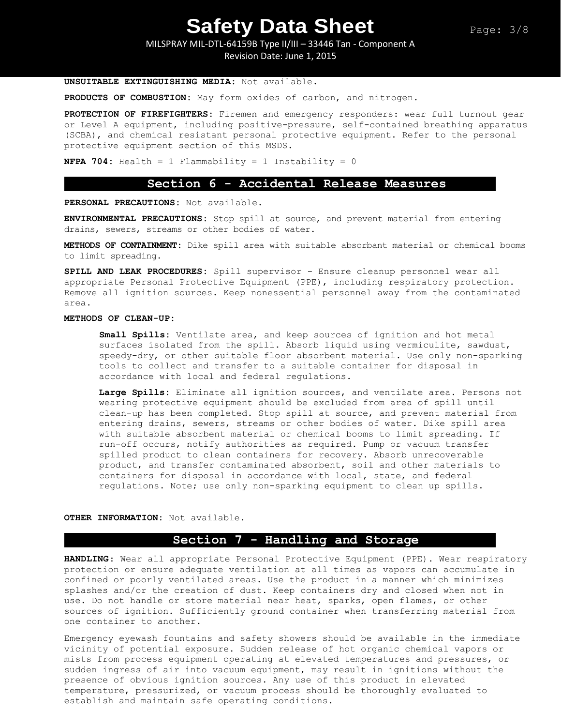MILSPRAY MIL-DTL-64159B Type II/III – 33446 Tan - Component A Revision Date: June 1, 2015

**UNSUITABLE EXTINGUISHING MEDIA:** Not available.

**PRODUCTS OF COMBUSTION:** May form oxides of carbon, and nitrogen.

**PROTECTION OF FIREFIGHTERS:** Firemen and emergency responders: wear full turnout gear or Level A equipment, including positive-pressure, self-contained breathing apparatus (SCBA), and chemical resistant personal protective equipment. Refer to the personal protective equipment section of this MSDS.

**NFPA 704:** Health = 1 Flammability = 1 Instability = 0

## **Section 6 - Accidental Release Measures**

**PERSONAL PRECAUTIONS:** Not available.

**ENVIRONMENTAL PRECAUTIONS:** Stop spill at source, and prevent material from entering drains, sewers, streams or other bodies of water.

**METHODS OF CONTAINMENT:** Dike spill area with suitable absorbant material or chemical booms to limit spreading.

**SPILL AND LEAK PROCEDURES:** Spill supervisor - Ensure cleanup personnel wear all appropriate Personal Protective Equipment (PPE), including respiratory protection. Remove all ignition sources. Keep nonessential personnel away from the contaminated area.

#### **METHODS OF CLEAN-UP:**

**Small Spills:** Ventilate area, and keep sources of ignition and hot metal surfaces isolated from the spill. Absorb liquid using vermiculite, sawdust, speedy-dry, or other suitable floor absorbent material. Use only non-sparking tools to collect and transfer to a suitable container for disposal in accordance with local and federal regulations.

**Large Spills:** Eliminate all ignition sources, and ventilate area. Persons not wearing protective equipment should be excluded from area of spill until clean-up has been completed. Stop spill at source, and prevent material from entering drains, sewers, streams or other bodies of water. Dike spill area with suitable absorbent material or chemical booms to limit spreading. If run-off occurs, notify authorities as required. Pump or vacuum transfer spilled product to clean containers for recovery. Absorb unrecoverable product, and transfer contaminated absorbent, soil and other materials to containers for disposal in accordance with local, state, and federal regulations. Note; use only non-sparking equipment to clean up spills.

**OTHER INFORMATION:** Not available.

## **Section 7 - Handling and Storage**

**HANDLING**: Wear all appropriate Personal Protective Equipment (PPE). Wear respiratory protection or ensure adequate ventilation at all times as vapors can accumulate in confined or poorly ventilated areas. Use the product in a manner which minimizes splashes and/or the creation of dust. Keep containers dry and closed when not in use. Do not handle or store material near heat, sparks, open flames, or other sources of ignition. Sufficiently ground container when transferring material from one container to another.

Emergency eyewash fountains and safety showers should be available in the immediate vicinity of potential exposure. Sudden release of hot organic chemical vapors or mists from process equipment operating at elevated temperatures and pressures, or sudden ingress of air into vacuum equipment, may result in ignitions without the presence of obvious ignition sources. Any use of this product in elevated temperature, pressurized, or vacuum process should be thoroughly evaluated to establish and maintain safe operating conditions.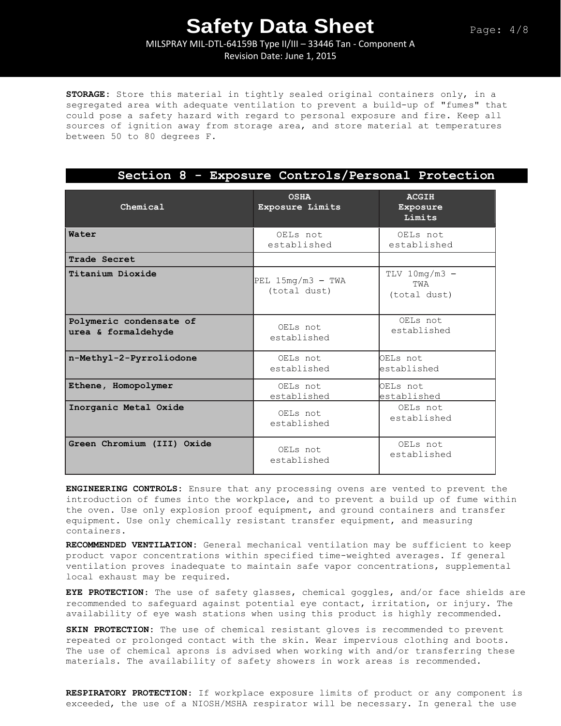MILSPRAY MIL-DTL-64159B Type II/III – 33446 Tan - Component A Revision Date: June 1, 2015

**STORAGE:** Store this material in tightly sealed original containers only, in a segregated area with adequate ventilation to prevent a build-up of "fumes" that could pose a safety hazard with regard to personal exposure and fire. Keep all sources of ignition away from storage area, and store material at temperatures between 50 to 80 degrees F.

**Section 8 - Exposure Controls/Personal Protection**

| Chemical                                       | <b>OSHA</b><br>Exposure Limits      | <b>ACGIH</b><br>Exposure<br>Limits     |
|------------------------------------------------|-------------------------------------|----------------------------------------|
| Water                                          | OELs not<br>established             | OELs not<br>established                |
| Trade Secret                                   |                                     |                                        |
| Titanium Dioxide                               | PEL $15mg/m3$ - TWA<br>(total dust) | $TLV$ 10mg/m3 -<br>TWA<br>(total dust) |
| Polymeric condensate of<br>urea & formaldehyde | OELs not<br>established             | OELs not<br>established                |
| n-Methyl-2-Pyrroliodone                        | OELs not<br>established             | OELs not<br>established                |
| Ethene, Homopolymer                            | OELs not<br>established             | OELs not<br>established                |
| Inorganic Metal Oxide                          | OELs not<br>established             | OELs not<br>established                |
| Green Chromium (III) Oxide                     | OELs not<br>established             | OELs not<br>established                |

**ENGINEERING CONTROLS:** Ensure that any processing ovens are vented to prevent the introduction of fumes into the workplace, and to prevent a build up of fume within the oven. Use only explosion proof equipment, and ground containers and transfer equipment. Use only chemically resistant transfer equipment, and measuring containers.

**RECOMMENDED VENTILATION:** General mechanical ventilation may be sufficient to keep product vapor concentrations within specified time-weighted averages. If general ventilation proves inadequate to maintain safe vapor concentrations, supplemental local exhaust may be required.

**EYE PROTECTION**: The use of safety glasses, chemical goggles, and/or face shields are recommended to safeguard against potential eye contact, irritation, or injury. The availability of eye wash stations when using this product is highly recommended.

**SKIN PROTECTION:** The use of chemical resistant gloves is recommended to prevent repeated or prolonged contact with the skin. Wear impervious clothing and boots. The use of chemical aprons is advised when working with and/or transferring these materials. The availability of safety showers in work areas is recommended.

**RESPIRATORY PROTECTION**: If workplace exposure limits of product or any component is exceeded, the use of a NIOSH/MSHA respirator will be necessary. In general the use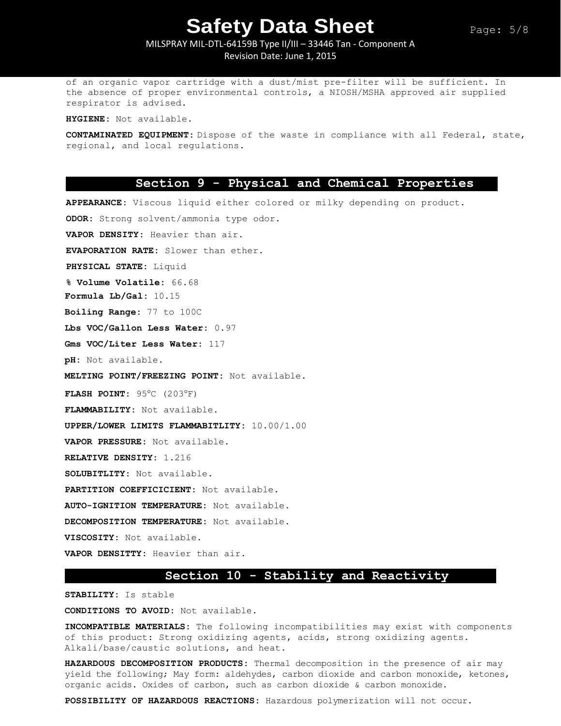MILSPRAY MIL-DTL-64159B Type II/III – 33446 Tan - Component A Revision Date: June 1, 2015

of an organic vapor cartridge with a dust/mist pre-filter will be sufficient. In the absence of proper environmental controls, a NIOSH/MSHA approved air supplied respirator is advised.

**HYGIENE:** Not available.

**CONTAMINATED EQUIPMENT:** Dispose of the waste in compliance with all Federal, state, regional, and local regulations.

### **Section 9 - Physical and Chemical Properties**

**APPEARANCE:** Viscous liquid either colored or milky depending on product. **ODOR:** Strong solvent/ammonia type odor. **VAPOR DENSITY:** Heavier than air. **EVAPORATION RATE:** Slower than ether. **PHYSICAL STATE:** Liquid **% Volume Volatile:** 66.68 **Formula Lb/Gal:** 10.15 **Boiling Range:** 77 to 100C **Lbs VOC/Gallon Less Water:** 0.97 **Gms VOC/Liter Less Water:** 117 **pH:** Not available. **MELTING POINT/FREEZING POINT:** Not available. **FLASH POINT:** 95°C (203°F) **FLAMMABILITY:** Not available. **UPPER/LOWER LIMITS FLAMMABITLITY:** 10.00/1.00 **VAPOR PRESSURE:** Not available. **RELATIVE DENSITY:** 1.216 **SOLUBITLITY:** Not available. **PARTITION COEFFICICIENT:** Not available. **AUTO-IGNITION TEMPERATURE:** Not available. **DECOMPOSITION TEMPERATURE:** Not available. **VISCOSITY:** Not available. **VAPOR DENSITTY:** Heavier than air.

## **Section 10 - Stability and Reactivity**

**STABILITY:** Is stable

**CONDITIONS TO AVOID:** Not available.

**INCOMPATIBLE MATERIALS:** The following incompatibilities may exist with components of this product: Strong oxidizing agents, acids, strong oxidizing agents. Alkali/base/caustic solutions, and heat.

**HAZARDOUS DECOMPOSITION PRODUCTS:** Thermal decomposition in the presence of air may yield the following; May form: aldehydes, carbon dioxide and carbon monoxide, ketones, organic acids. Oxides of carbon, such as carbon dioxide & carbon monoxide.

**POSSIBILITY OF HAZARDOUS REACTIONS:** Hazardous polymerization will not occur.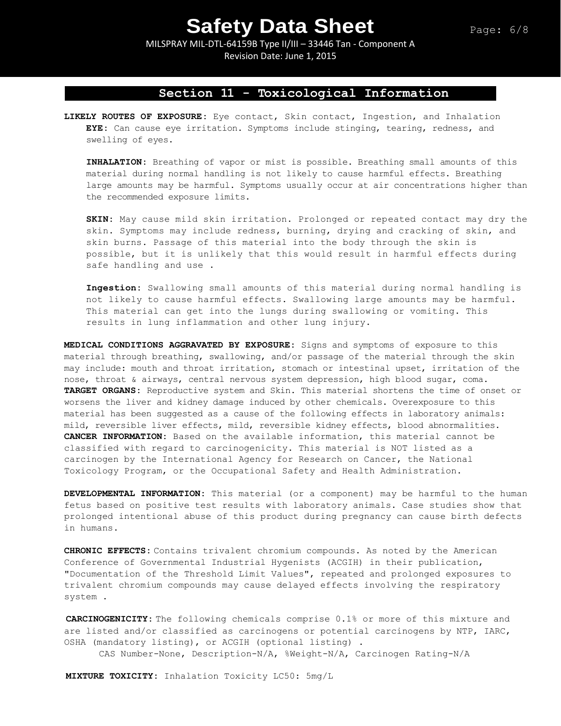MILSPRAY MIL-DTL-64159B Type II/III – 33446 Tan - Component A Revision Date: June 1, 2015

## **Section 11 - Toxicological Information**

**LIKELY ROUTES OF EXPOSURE:** Eye contact, Skin contact, Ingestion, and Inhalation **EYE:** Can cause eye irritation. Symptoms include stinging, tearing, redness, and swelling of eyes.

**INHALATION:** Breathing of vapor or mist is possible. Breathing small amounts of this material during normal handling is not likely to cause harmful effects. Breathing large amounts may be harmful. Symptoms usually occur at air concentrations higher than the recommended exposure limits.

**SKIN:** May cause mild skin irritation. Prolonged or repeated contact may dry the skin. Symptoms may include redness, burning, drying and cracking of skin, and skin burns. Passage of this material into the body through the skin is possible, but it is unlikely that this would result in harmful effects during safe handling and use .

**Ingestion:** Swallowing small amounts of this material during normal handling is not likely to cause harmful effects. Swallowing large amounts may be harmful. This material can get into the lungs during swallowing or vomiting. This results in lung inflammation and other lung injury.

**MEDICAL CONDITIONS AGGRAVATED BY EXPOSURE:** Signs and symptoms of exposure to this material through breathing, swallowing, and/or passage of the material through the skin may include: mouth and throat irritation, stomach or intestinal upset, irritation of the nose, throat & airways, central nervous system depression, high blood sugar, coma. **TARGET ORGANS:** Reproductive system and Skin. This material shortens the time of onset or worsens the liver and kidney damage induced by other chemicals. Overexposure to this material has been suggested as a cause of the following effects in laboratory animals: mild, reversible liver effects, mild, reversible kidney effects, blood abnormalities. **CANCER INFORMATION:** Based on the available information, this material cannot be classified with regard to carcinogenicity. This material is NOT listed as a carcinogen by the International Agency for Research on Cancer, the National Toxicology Program, or the Occupational Safety and Health Administration.

**DEVELOPMENTAL INFORMATION:** This material (or a component) may be harmful to the human fetus based on positive test results with laboratory animals. Case studies show that prolonged intentional abuse of this product during pregnancy can cause birth defects in humans.

**CHRONIC EFFECTS:** Contains trivalent chromium compounds. As noted by the American Conference of Governmental Industrial Hygenists (ACGIH) in their publication, "Documentation of the Threshold Limit Values", repeated and prolonged exposures to trivalent chromium compounds may cause delayed effects involving the respiratory system .

**CARCINOGENICITY:** The following chemicals comprise 0.1% or more of this mixture and are listed and/or classified as carcinogens or potential carcinogens by NTP, IARC, OSHA (mandatory listing), or ACGIH (optional listing) .

CAS Number-None, Description-N/A, %Weight-N/A, Carcinogen Rating-N/A

**MIXTURE TOXICITY:** Inhalation Toxicity LC50: 5mg/L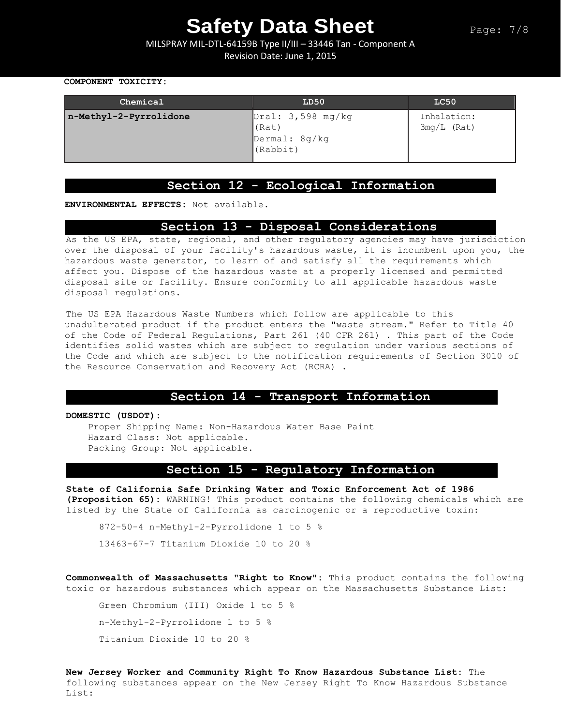MILSPRAY MIL-DTL-64159B Type II/III – 33446 Tan - Component A Revision Date: June 1, 2015

#### **COMPONENT TOXICITY:**

| Chemical               | LD50                                                                      | LC50                         |
|------------------------|---------------------------------------------------------------------------|------------------------------|
| n-Methyl-2-Pyrrolidone | $\sqrt{0 \text{ral}: 3,598 m}$ g/kg<br>(Rat)<br>Dermal: 8g/kg<br>(Rabbit) | Inhalation:<br>$3mg/L$ (Rat) |

### **Section 12 - Ecological Information**

**ENVIRONMENTAL EFFECTS:** Not available.

## **Section 13 - Disposal Considerations**

As the US EPA, state, regional, and other regulatory agencies may have jurisdiction over the disposal of your facility's hazardous waste, it is incumbent upon you, the hazardous waste generator, to learn of and satisfy all the requirements which affect you. Dispose of the hazardous waste at a properly licensed and permitted disposal site or facility. Ensure conformity to all applicable hazardous waste disposal regulations.

The US EPA Hazardous Waste Numbers which follow are applicable to this unadulterated product if the product enters the "waste stream." Refer to Title 40 of the Code of Federal Regulations, Part 261 (40 CFR 261) . This part of the Code identifies solid wastes which are subject to regulation under various sections of the Code and which are subject to the notification requirements of Section 3010 of the Resource Conservation and Recovery Act (RCRA) .

### **Section 14 - Transport Information**

#### **DOMESTIC (USDOT):**

Proper Shipping Name: Non-Hazardous Water Base Paint Hazard Class: Not applicable. Packing Group: Not applicable.

## **Section 15 - Regulatory Information**

**State of California Safe Drinking Water and Toxic Enforcement Act of 1986 (Proposition 65):** WARNING! This product contains the following chemicals which are listed by the State of California as carcinogenic or a reproductive toxin:

872-50-4 n-Methyl-2-Pyrrolidone 1 to 5 %

13463-67-7 Titanium Dioxide 10 to 20 %

**Commonwealth of Massachusetts "Right to Know":** This product contains the following toxic or hazardous substances which appear on the Massachusetts Substance List:

```
Green Chromium (III) Oxide 1 to 5 %
n-Methyl-2-Pyrrolidone 1 to 5 %
Titanium Dioxide 10 to 20 %
```
**New Jersey Worker and Community Right To Know Hazardous Substance List:** The following substances appear on the New Jersey Right To Know Hazardous Substance List: